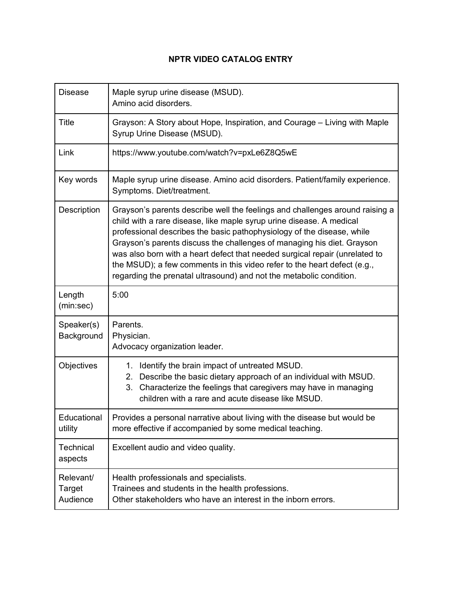## **NPTR VIDEO CATALOG ENTRY**

| <b>Disease</b>                  | Maple syrup urine disease (MSUD).<br>Amino acid disorders.                                                                                                                                                                                                                                                                                                                                                                                                                                                                                 |
|---------------------------------|--------------------------------------------------------------------------------------------------------------------------------------------------------------------------------------------------------------------------------------------------------------------------------------------------------------------------------------------------------------------------------------------------------------------------------------------------------------------------------------------------------------------------------------------|
| <b>Title</b>                    | Grayson: A Story about Hope, Inspiration, and Courage – Living with Maple<br>Syrup Urine Disease (MSUD).                                                                                                                                                                                                                                                                                                                                                                                                                                   |
| Link                            | https://www.youtube.com/watch?v=pxLe6Z8Q5wE                                                                                                                                                                                                                                                                                                                                                                                                                                                                                                |
| Key words                       | Maple syrup urine disease. Amino acid disorders. Patient/family experience.<br>Symptoms. Diet/treatment.                                                                                                                                                                                                                                                                                                                                                                                                                                   |
| Description                     | Grayson's parents describe well the feelings and challenges around raising a<br>child with a rare disease, like maple syrup urine disease. A medical<br>professional describes the basic pathophysiology of the disease, while<br>Grayson's parents discuss the challenges of managing his diet. Grayson<br>was also born with a heart defect that needed surgical repair (unrelated to<br>the MSUD); a few comments in this video refer to the heart defect (e.g.,<br>regarding the prenatal ultrasound) and not the metabolic condition. |
| Length<br>(min:sec)             | 5:00                                                                                                                                                                                                                                                                                                                                                                                                                                                                                                                                       |
| Speaker(s)<br>Background        | Parents.<br>Physician.<br>Advocacy organization leader.                                                                                                                                                                                                                                                                                                                                                                                                                                                                                    |
| Objectives                      | 1. Identify the brain impact of untreated MSUD.<br>2. Describe the basic dietary approach of an individual with MSUD.<br>Characterize the feelings that caregivers may have in managing<br>3.<br>children with a rare and acute disease like MSUD.                                                                                                                                                                                                                                                                                         |
| Educational<br>utility          | Provides a personal narrative about living with the disease but would be<br>more effective if accompanied by some medical teaching.                                                                                                                                                                                                                                                                                                                                                                                                        |
| Technical<br>aspects            | Excellent audio and video quality.                                                                                                                                                                                                                                                                                                                                                                                                                                                                                                         |
| Relevant/<br>Target<br>Audience | Health professionals and specialists.<br>Trainees and students in the health professions.<br>Other stakeholders who have an interest in the inborn errors.                                                                                                                                                                                                                                                                                                                                                                                 |